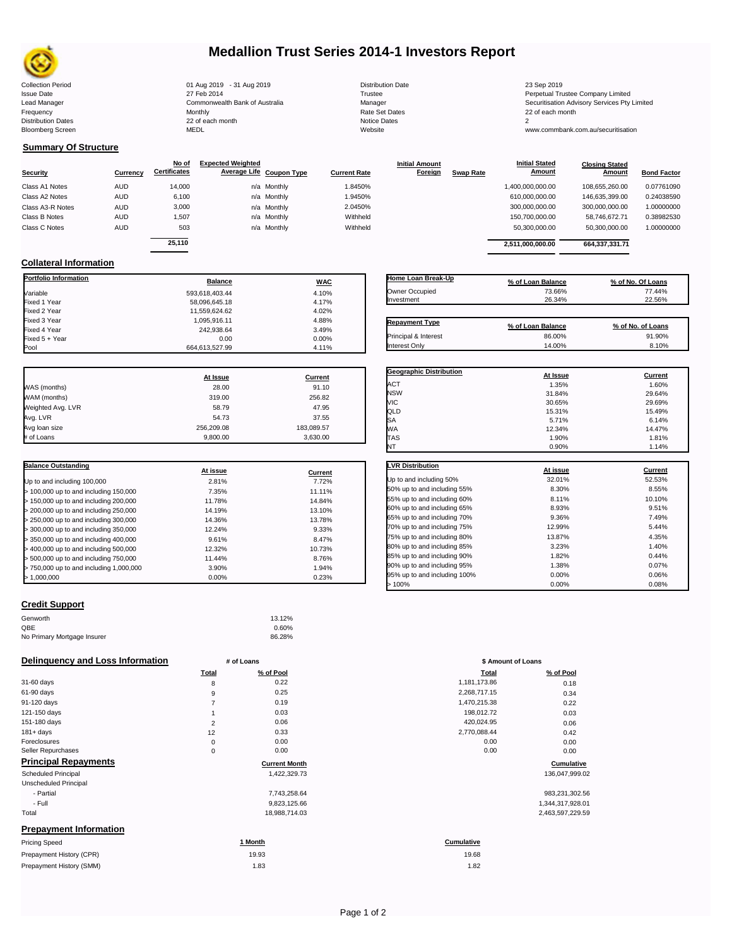

# **Medallion Trust Series 2014-1 Investors Report**

| <b>Collection Period</b>  | 01 Aug 2019 - 31 Aug 2019      | <b>Distribution Date</b> | 23 Sep 2019                                  |
|---------------------------|--------------------------------|--------------------------|----------------------------------------------|
| <b>Issue Date</b>         | 27 Feb 2014                    | Trustee                  | Perpetual Trustee Company Limited            |
| Lead Manager              | Commonwealth Bank of Australia | Manager                  | Securitisation Advisory Services Pty Limited |
| Frequency                 | Monthly                        | Rate Set Dates           | 22 of each month                             |
| <b>Distribution Dates</b> | 22 of each month               | Notice Dates             |                                              |
| <b>Bloomberg Screen</b>   | <b>MEDL</b>                    | Website                  | www.commbank.com.au/securitisation           |
|                           |                                |                          |                                              |

| Distribution Da     |
|---------------------|
| Trustee             |
| Manager             |
| Rate Set Date       |
| <b>Notice Dates</b> |
| Website             |
|                     |

**Initial Amount** 

**Closing Stated Amount**

### **Summary Of Structure**

**Collateral Information**

|                  |            | No of               | <b>Expected Weighted</b> |                     | <b>Initial Amount</b> |                  | <b>Initial Stated</b> | <b>Closing Stated</b> |                    |
|------------------|------------|---------------------|--------------------------|---------------------|-----------------------|------------------|-----------------------|-----------------------|--------------------|
| <b>Security</b>  | Currency   | <b>Certificates</b> | Average Life Coupon Type | <b>Current Rate</b> | Foreign               | <b>Swap Rate</b> | <b>Amount</b>         | Amount                | <b>Bond Factor</b> |
| Class A1 Notes   | <b>AUD</b> | 14,000              | n/a Monthly              | 1.8450%             |                       |                  | 1,400,000,000.00      | 108.655.260.00        | 0.07761090         |
| Class A2 Notes   | <b>AUD</b> | 6,100               | n/a Monthly              | 1.9450%             |                       |                  | 610,000,000.00        | 146.635.399.00        | 0.24038590         |
| Class A3-R Notes | <b>AUD</b> | 3,000               | n/a Monthly              | 2.0450%             |                       |                  | 300,000,000.00        | 300.000.000.00        | 1.00000000         |
| Class B Notes    | <b>AUD</b> | 1.507               | n/a Monthly              | Withheld            |                       |                  | 150.700.000.00        | 58.746.672.71         | 0.38982530         |
| Class C Notes    | <b>AUD</b> | 503                 | n/a Monthly              | Withheld            |                       |                  | 50,300,000.00         | 50,300,000.00         | 1.00000000         |
|                  |            | 25.110              |                          |                     |                       |                  |                       |                       |                    |
|                  |            |                     |                          |                     |                       |                  | 2.511.000.000.00      | 664,337,331.71        |                    |

**Portfolio Information Balance WAC** Variable 4.10% Fixed 1 Year 58,096,645.18 4.17% Fixed 2 Year 11,559,624.62 4.02% Fixed 3 Year 1,095,916.11 4.88%

Fixed 5 + Year 0.00% و 0.00 0.00% و 0.000 0.00% و 0.00% و 0.000 0.00% و 0.00% و 0.00% و 0.00% و 0.00% و 0.00%<br>Pool 0.00 0.00 0.00 0.00 0.00 0.000 0.000 0.000 0.000 0.000 0.000 0.000 0.000 0.000 0.000 0.000 0.000 0.000 0.

664,613,527.99

| Home Loan Break-Up                           | % of Loan Balance | % of No. Of Loans |
|----------------------------------------------|-------------------|-------------------|
| Owner Occupied                               | 73.66%            | 77.44%            |
| Investment                                   | 26.34%            | 22.56%            |
|                                              |                   |                   |
| <b>Repayment Type</b>                        |                   |                   |
|                                              | % of Loan Balance | % of No. of Loans |
| Principal & Interest<br><b>Interest Only</b> | 86.00%            | 91.90%            |

**Geographic Distribution**<br> **ACT ACT ACT ACT ACT ACT ACT ACT ACT ACT ACT ACT ACT ACT ACT ACT ACT ACT ACT ACT ACT ACT ACT ACT ACT ACT ACT** ACT 1.35% 1.60% NSW 31.84% 29.64%

**Initial Stated** 

|                   | At Issue   | <b>Current</b> |
|-------------------|------------|----------------|
| WAS (months)      | 28.00      | 91.10          |
| WAM (months)      | 319.00     | 256.82         |
| Weighted Avg. LVR | 58.79      | 47.95          |
| Avg. LVR          | 54.73      | 37.55          |
| Avg loan size     | 256.209.08 | 183,089.57     |
| # of Loans        | 9.800.00   | 3,630.00       |

242,938.64 3.49%<br>0.00 0.00 0.00%

| <b>Balance Outstanding</b>              |          |         |
|-----------------------------------------|----------|---------|
|                                         | At issue | Current |
| Up to and including 100,000             | 2.81%    | 7.72%   |
| $>$ 100,000 up to and including 150,000 | 7.35%    | 11.11%  |
| > 150,000 up to and including 200,000   | 11.78%   | 14.84%  |
| > 200,000 up to and including 250,000   | 14.19%   | 13.10%  |
| > 250,000 up to and including 300,000   | 14.36%   | 13.78%  |
| $>$ 300,000 up to and including 350,000 | 12.24%   | 9.33%   |
| $>$ 350,000 up to and including 400,000 | 9.61%    | 8.47%   |
| > 400,000 up to and including 500,000   | 12.32%   | 10.73%  |
| > 500,000 up to and including 750,000   | 11.44%   | 8.76%   |
| > 750,000 up to and including 1,000,000 | 3.90%    | 1.94%   |
| > 1.000.000                             | 0.00%    | 0.23%   |

| MIC                          | 30.65%   | 29.69%         |
|------------------------------|----------|----------------|
| QLD                          | 15.31%   | 15.49%         |
| SA                           | 5.71%    | 6.14%          |
| WА                           | 12.34%   | 14.47%         |
| <b>TAS</b>                   | 1.90%    | 1.81%          |
| NT                           | 0.90%    | 1.14%          |
| <b>LVR Distribution</b>      |          |                |
|                              | At issue | <b>Current</b> |
| Up to and including 50%      | 32.01%   | 52.53%         |
| 50% up to and including 55%  | 8.30%    | 8.55%          |
| 55% up to and including 60%  | 8.11%    | 10.10%         |
| 60% up to and including 65%  | 8.93%    | 9.51%          |
| 65% up to and including 70%  | 9.36%    | 7.49%          |
| 70% up to and including 75%  | 12.99%   | 5.44%          |
| 75% up to and including 80%  | 13.87%   | 4.35%          |
| 80% up to and including 85%  | 3.23%    | 1.40%          |
| 85% up to and including 90%  | 1.82%    | 0.44%          |
| 90% up to and including 95%  | 1.38%    | 0.07%          |
| 95% up to and including 100% | 0.00%    | 0.06%          |
| >100%                        | 0.00%    | 0.08%          |

## **Credit Support**

| Genworth                    | 13.12% |
|-----------------------------|--------|
| QBE                         | 0.60%  |
| No Primary Mortgage Insurer | 86.28% |

### **Delinquency and Loss Information # of Loans**

|                               | Total          | % of Pool            | Total        | % of Pool        |
|-------------------------------|----------------|----------------------|--------------|------------------|
| 31-60 days                    | 8              | 0.22                 | 1,181,173.86 | 0.18             |
| 61-90 days                    | 9              | 0.25                 | 2,268,717.15 | 0.34             |
| 91-120 days                   |                | 0.19                 | 1,470,215.38 | 0.22             |
| 121-150 days                  |                | 0.03                 | 198,012.72   | 0.03             |
| 151-180 days                  | $\overline{2}$ | 0.06                 | 420,024.95   | 0.06             |
| $181 + days$                  | 12             | 0.33                 | 2,770,088.44 | 0.42             |
| Foreclosures                  | 0              | 0.00                 | 0.00         | 0.00             |
| Seller Repurchases            | 0              | 0.00                 | 0.00         | 0.00             |
| <b>Principal Repayments</b>   |                | <b>Current Month</b> |              | Cumulative       |
| Scheduled Principal           |                | 1,422,329.73         |              | 136,047,999.02   |
| Unscheduled Principal         |                |                      |              |                  |
| - Partial                     |                | 7,743,258.64         |              | 983,231,302.56   |
| - Full                        |                | 9,823,125.66         |              | 1,344,317,928.01 |
| Total                         |                | 18,988,714.03        |              | 2,463,597,229.59 |
| <b>Prepayment Information</b> |                |                      |              |                  |
| <b>Pricing Speed</b>          |                | 1 Month              | Cumulative   |                  |
| Prepayment History (CPR)      |                | 19.93                | 19.68        |                  |
| Prepayment History (SMM)      |                | 1.83                 | 1.82         |                  |

| # of Loans     |                      | \$ Amount of Loans |                |  |
|----------------|----------------------|--------------------|----------------|--|
| Total          | % of Pool            | Total              | % of Pool      |  |
| 8              | 0.22                 | 1,181,173.86       | 0.18           |  |
| 9              | 0.25                 | 2,268,717.15       | 0.34           |  |
| $\overline{7}$ | 0.19                 | 1,470,215.38       | 0.22           |  |
| 1              | 0.03                 | 198,012.72         | 0.03           |  |
| $\overline{2}$ | 0.06                 | 420,024.95         | 0.06           |  |
| 12             | 0.33                 | 2,770,088.44       | 0.42           |  |
| 0              | 0.00                 | 0.00               | 0.00           |  |
| $\pmb{0}$      | 0.00                 | 0.00               | 0.00           |  |
|                | <b>Current Month</b> |                    | Cumulativ      |  |
|                | 1,422,329.73         |                    | 136,047,999.   |  |
|                | 7,743,258.64         |                    | 983,231,302.   |  |
|                | 9,823,125.66         |                    | 1,344,317,928. |  |
|                | 18,988,714.03        |                    | 2,463,597,229. |  |